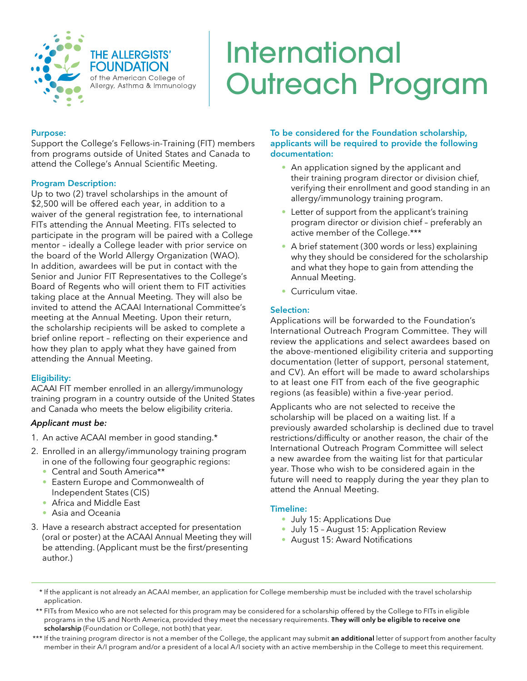

# International Outreach Program

#### Purpose:

Support the College's Fellows-in-Training (FIT) members from programs outside of United States and Canada to attend the College's Annual Scientific Meeting.

#### Program Description:

Up to two (2) travel scholarships in the amount of \$2,500 will be offered each year, in addition to a waiver of the general registration fee, to international FITs attending the Annual Meeting. FITs selected to participate in the program will be paired with a College mentor – ideally a College leader with prior service on the board of the World Allergy Organization (WAO). In addition, awardees will be put in contact with the Senior and Junior FIT Representatives to the College's Board of Regents who will orient them to FIT activities taking place at the Annual Meeting. They will also be invited to attend the ACAAI International Committee's meeting at the Annual Meeting. Upon their return, the scholarship recipients will be asked to complete a brief online report – reflecting on their experience and how they plan to apply what they have gained from attending the Annual Meeting.

#### Eligibility:

ACAAI FIT member enrolled in an allergy/immunology training program in a country outside of the United States and Canada who meets the below eligibility criteria.

#### *Applicant must be:*

- 1. An active ACAAI member in good standing.\*
- 2. Enrolled in an allergy/immunology training program in one of the following four geographic regions:
	- Central and South America\*\*
	- Eastern Europe and Commonwealth of Independent States (CIS)
	- Africa and Middle East
	- Asia and Oceania
- 3. Have a research abstract accepted for presentation (oral or poster) at the ACAAI Annual Meeting they will be attending. (Applicant must be the first/presenting author.)

#### To be considered for the Foundation scholarship, applicants will be required to provide the following documentation:

- An application signed by the applicant and their training program director or division chief, verifying their enrollment and good standing in an allergy/immunology training program.
- Letter of support from the applicant's training program director or division chief – preferably an active member of the College.\*\*\*
- A brief statement (300 words or less) explaining why they should be considered for the scholarship and what they hope to gain from attending the Annual Meeting.
- Curriculum vitae.

#### Selection:

Applications will be forwarded to the Foundation's International Outreach Program Committee. They will review the applications and select awardees based on the above-mentioned eligibility criteria and supporting documentation (letter of support, personal statement, and CV). An effort will be made to award scholarships to at least one FIT from each of the five geographic regions (as feasible) within a five-year period.

Applicants who are not selected to receive the scholarship will be placed on a waiting list. If a previously awarded scholarship is declined due to travel restrictions/difficulty or another reason, the chair of the International Outreach Program Committee will select a new awardee from the waiting list for that particular year. Those who wish to be considered again in the future will need to reapply during the year they plan to attend the Annual Meeting.

#### Timeline:

- July 15: Applications Due
- July 15 August 15: Application Review
- August 15: Award Notifications
- \* If the applicant is not already an ACAAI member, an application for College membership must be included with the travel scholarship application.
- \*\* FITs from Mexico who are not selected for this program may be considered for a scholarship offered by the College to FITs in eligible programs in the US and North America, provided they meet the necessary requirements. They will only be eligible to receive one scholarship (Foundation or College, not both) that year.
- \*\*\* If the training program director is not a member of the College, the applicant may submit an additional letter of support from another faculty member in their A/I program and/or a president of a local A/I society with an active membership in the College to meet this requirement.